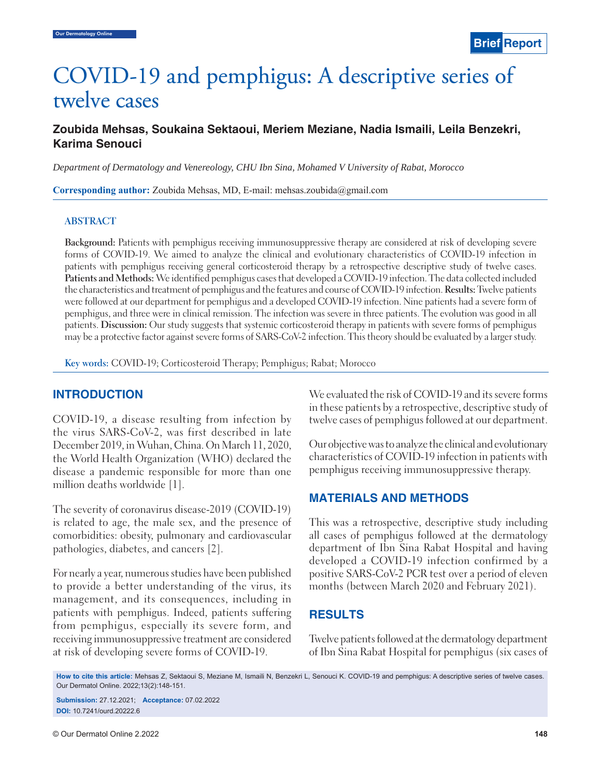# COVID-19 and pemphigus: A descriptive series of twelve cases

# **Zoubida Mehsas, Soukaina Sektaoui, Meriem Meziane, Nadia Ismaili, Leila Benzekri, Karima Senouci**

*Department of Dermatology and Venereology, CHU Ibn Sina, Mohamed V University of Rabat, Morocco*

**Corresponding author:** Zoubida Mehsas, MD, E-mail: mehsas.zoubida@gmail.com

#### **ABSTRACT**

**Background:** Patients with pemphigus receiving immunosuppressive therapy are considered at risk of developing severe forms of COVID-19. We aimed to analyze the clinical and evolutionary characteristics of COVID-19 infection in patients with pemphigus receiving general corticosteroid therapy by a retrospective descriptive study of twelve cases. **Patients and Methods:** We identified pemphigus cases that developed a COVID-19 infection. The data collected included the characteristics and treatment of pemphigus and the features and course of COVID-19 infection. **Results:** Twelve patients were followed at our department for pemphigus and a developed COVID-19 infection. Nine patients had a severe form of pemphigus, and three were in clinical remission. The infection was severe in three patients. The evolution was good in all patients. **Discussion:** Our study suggests that systemic corticosteroid therapy in patients with severe forms of pemphigus may be a protective factor against severe forms of SARS-CoV-2 infection. This theory should be evaluated by a larger study.

**Key words:** COVID-19; Corticosteroid Therapy; Pemphigus; Rabat; Morocco

## **INTRODUCTION**

COVID-19, a disease resulting from infection by the virus SARS-CoV-2, was first described in late December 2019, in Wuhan, China. On March 11, 2020, the World Health Organization (WHO) declared the disease a pandemic responsible for more than one million deaths worldwide [1].

The severity of coronavirus disease-2019 (COVID-19) is related to age, the male sex, and the presence of comorbidities: obesity, pulmonary and cardiovascular pathologies, diabetes, and cancers [2].

For nearly a year, numerous studies have been published to provide a better understanding of the virus, its management, and its consequences, including in patients with pemphigus. Indeed, patients suffering from pemphigus, especially its severe form, and receiving immunosuppressive treatment are considered at risk of developing severe forms of COVID-19.

We evaluated the risk of COVID-19 and its severe forms in these patients by a retrospective, descriptive study of twelve cases of pemphigus followed at our department.

Our objective was to analyze the clinical and evolutionary characteristics of COVID-19 infection in patients with pemphigus receiving immunosuppressive therapy.

## **MATERIALS AND METHODS**

This was a retrospective, descriptive study including all cases of pemphigus followed at the dermatology department of Ibn Sina Rabat Hospital and having developed a COVID-19 infection confirmed by a positive SARS-CoV-2 PCR test over a period of eleven months (between March 2020 and February 2021).

# **RESULTS**

Twelve patients followed at the dermatology department of Ibn Sina Rabat Hospital for pemphigus (six cases of

**How to cite this article:** Mehsas Z, Sektaoui S, Meziane M, Ismaili N, Benzekri L, Senouci K. COVID-19 and pemphigus: A descriptive series of twelve cases. Our Dermatol Online. 2022;13(2):148-151.

**Submission:** 27.12.2021; **Acceptance:** 07.02.2022 **DOI:** 10.7241/ourd.20222.6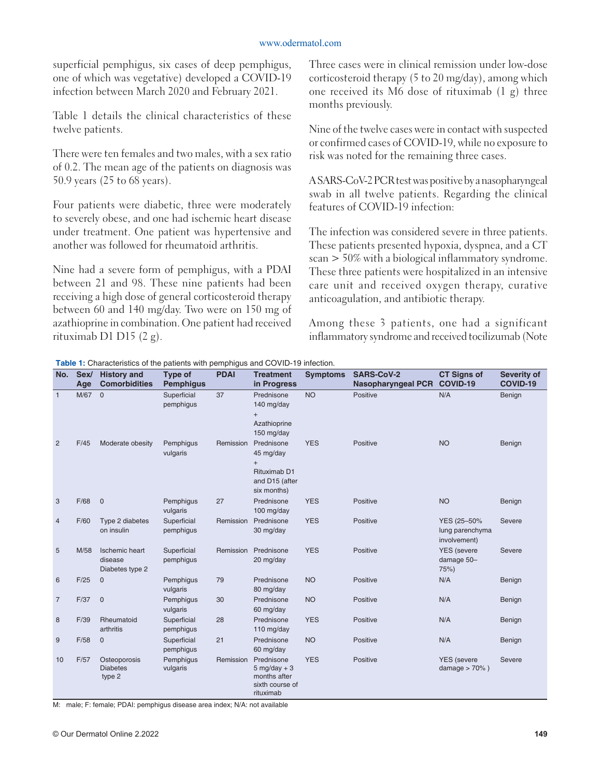#### www.odermatol.com

superficial pemphigus, six cases of deep pemphigus, one of which was vegetative) developed a COVID-19 infection between March 2020 and February 2021.

Table 1 details the clinical characteristics of these twelve patients.

There were ten females and two males, with a sex ratio of 0.2. The mean age of the patients on diagnosis was 50.9 years (25 to 68 years).

Four patients were diabetic, three were moderately to severely obese, and one had ischemic heart disease under treatment. One patient was hypertensive and another was followed for rheumatoid arthritis.

Nine had a severe form of pemphigus, with a PDAI between 21 and 98. These nine patients had been receiving a high dose of general corticosteroid therapy between 60 and 140 mg/day. Two were on 150 mg of azathioprine in combination. One patient had received rituximab D1 D15 (2 g).

Three cases were in clinical remission under low-dose corticosteroid therapy (5 to 20 mg/day), among which one received its M6 dose of rituximab (1 g) three months previously.

Nine of the twelve cases were in contact with suspected or confirmed cases of COVID-19, while no exposure to risk was noted for the remaining three cases.

A SARS-CoV-2 PCR test was positive by a nasopharyngeal swab in all twelve patients. Regarding the clinical features of COVID-19 infection:

The infection was considered severe in three patients. These patients presented hypoxia, dyspnea, and a CT scan > 50% with a biological inflammatory syndrome. These three patients were hospitalized in an intensive care unit and received oxygen therapy, curative anticoagulation, and antibiotic therapy.

Among these 3 patients, one had a significant inflammatory syndrome and received tocilizumab (Note

| No.            | Sex/<br>Age | <b>History and</b><br><b>Comorbidities</b>          | Type of<br><b>Pemphiqus</b> | <b>PDAI</b> | <b>Treatment</b><br>in Progress                                                 | <b>Symptoms</b> | <b>SARS-CoV-2</b><br><b>Nasopharyngeal PCR</b> | <b>CT Signs of</b><br>COVID-19                 | Severity of<br><b>COVID-19</b> |
|----------------|-------------|-----------------------------------------------------|-----------------------------|-------------|---------------------------------------------------------------------------------|-----------------|------------------------------------------------|------------------------------------------------|--------------------------------|
| $\overline{1}$ | M/67        | $\mathbf 0$                                         | Superficial<br>pemphigus    | 37          | Prednisone<br>140 mg/day<br>$^{+}$<br>Azathioprine<br>150 mg/day                | <b>NO</b>       | Positive                                       | N/A                                            | Benign                         |
| $\overline{2}$ | F/45        | Moderate obesity                                    | Pemphigus<br>vulgaris       | Remission   | Prednisone<br>45 mg/day<br>$+$<br>Rituximab D1<br>and D15 (after<br>six months) | <b>YES</b>      | Positive                                       | <b>NO</b>                                      | Benign                         |
| 3              | F/68        | $\mathbf 0$                                         | Pemphigus<br>vulgaris       | 27          | Prednisone<br>100 mg/day                                                        | <b>YES</b>      | Positive                                       | <b>NO</b>                                      | Benign                         |
| $\overline{4}$ | F/60        | Type 2 diabetes<br>on insulin                       | Superficial<br>pemphigus    | Remission   | Prednisone<br>30 mg/day                                                         | <b>YES</b>      | Positive                                       | YES (25-50%<br>lung parenchyma<br>involvement) | Severe                         |
| 5              | M/58        | <b>Ischemic heart</b><br>disease<br>Diabetes type 2 | Superficial<br>pemphigus    | Remission   | Prednisone<br>20 mg/day                                                         | <b>YES</b>      | Positive                                       | <b>YES</b> (severe<br>damage 50-<br>75%)       | Severe                         |
| 6              | F/25        | $\mathbf 0$                                         | Pemphigus<br>vulgaris       | 79          | Prednisone<br>80 mg/day                                                         | <b>NO</b>       | Positive                                       | N/A                                            | Benign                         |
| $\overline{7}$ | F/37        | $\mathbf 0$                                         | Pemphigus<br>vulgaris       | 30          | Prednisone<br>60 mg/day                                                         | <b>NO</b>       | Positive                                       | N/A                                            | Benign                         |
| 8              | F/39        | Rheumatoid<br>arthritis                             | Superficial<br>pemphigus    | 28          | Prednisone<br>110 mg/day                                                        | <b>YES</b>      | Positive                                       | N/A                                            | Benign                         |
| 9              | F/58        | $\mathbf 0$                                         | Superficial<br>pemphigus    | 21          | Prednisone<br>60 mg/day                                                         | <b>NO</b>       | Positive                                       | N/A                                            | Benign                         |
| 10             | F/57        | Osteoporosis<br><b>Diabetes</b><br>type 2           | Pemphigus<br>vulgaris       | Remission   | Prednisone<br>$5$ mg/day + 3<br>months after<br>sixth course of<br>rituximab    | <b>YES</b>      | Positive                                       | <b>YES</b> (severe<br>damage $> 70\%$ )        | Severe                         |

**Table 1:** Characteristics of the patients with pemphigus and COVID-19 infection.

M: male; F: female; PDAI: pemphigus disease area index; N/A: not available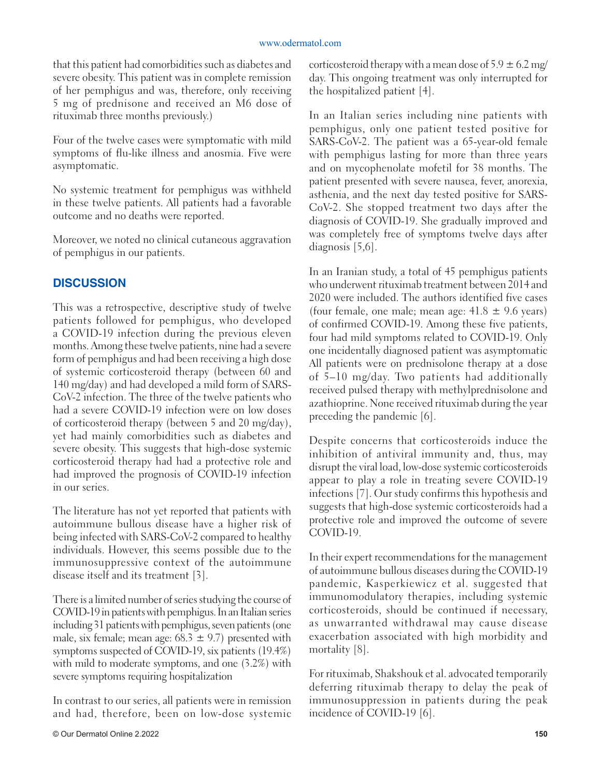that this patient had comorbidities such as diabetes and severe obesity. This patient was in complete remission of her pemphigus and was, therefore, only receiving 5 mg of prednisone and received an M6 dose of rituximab three months previously.)

Four of the twelve cases were symptomatic with mild symptoms of flu-like illness and anosmia. Five were asymptomatic.

No systemic treatment for pemphigus was withheld in these twelve patients. All patients had a favorable outcome and no deaths were reported.

Moreover, we noted no clinical cutaneous aggravation of pemphigus in our patients.

# **DISCUSSION**

This was a retrospective, descriptive study of twelve patients followed for pemphigus, who developed a COVID-19 infection during the previous eleven months. Among these twelve patients, nine had a severe form of pemphigus and had been receiving a high dose of systemic corticosteroid therapy (between 60 and 140 mg/day) and had developed a mild form of SARS-CoV-2 infection. The three of the twelve patients who had a severe COVID-19 infection were on low doses of corticosteroid therapy (between 5 and 20 mg/day), yet had mainly comorbidities such as diabetes and severe obesity. This suggests that high-dose systemic corticosteroid therapy had had a protective role and had improved the prognosis of COVID-19 infection in our series.

The literature has not yet reported that patients with autoimmune bullous disease have a higher risk of being infected with SARS-CoV-2 compared to healthy individuals. However, this seems possible due to the immunosuppressive context of the autoimmune disease itself and its treatment [3].

There is a limited number of series studying the course of COVID-19 in patients with pemphigus. In an Italian series including 31 patients with pemphigus, seven patients (one male, six female; mean age:  $68.3 \pm 9.7$ ) presented with symptoms suspected of COVID-19, six patients (19.4%) with mild to moderate symptoms, and one (3.2%) with severe symptoms requiring hospitalization

In contrast to our series, all patients were in remission and had, therefore, been on low-dose systemic corticosteroid therapy with a mean dose of  $5.9 \pm 6.2$  mg/ day. This ongoing treatment was only interrupted for the hospitalized patient [4].

In an Italian series including nine patients with pemphigus, only one patient tested positive for SARS-CoV-2. The patient was a 65-year-old female with pemphigus lasting for more than three years and on mycophenolate mofetil for 38 months. The patient presented with severe nausea, fever, anorexia, asthenia, and the next day tested positive for SARS-CoV-2. She stopped treatment two days after the diagnosis of COVID-19. She gradually improved and was completely free of symptoms twelve days after diagnosis [5,6].

In an Iranian study, a total of 45 pemphigus patients who underwent rituximab treatment between 2014 and 2020 were included. The authors identified five cases (four female, one male; mean age:  $41.8 \pm 9.6$  years) of confirmed COVID-19. Among these five patients, four had mild symptoms related to COVID-19. Only one incidentally diagnosed patient was asymptomatic All patients were on prednisolone therapy at a dose of 5–10 mg/day. Two patients had additionally received pulsed therapy with methylprednisolone and azathioprine. None received rituximab during the year preceding the pandemic [6].

Despite concerns that corticosteroids induce the inhibition of antiviral immunity and, thus, may disrupt the viral load, low-dose systemic corticosteroids appear to play a role in treating severe COVID-19 infections [7]. Our study confirms this hypothesis and suggests that high-dose systemic corticosteroids had a protective role and improved the outcome of severe COVID-19.

In their expert recommendations for the management of autoimmune bullous diseases during the COVID-19 pandemic, Kasperkiewicz et al. suggested that immunomodulatory therapies, including systemic corticosteroids, should be continued if necessary, as unwarranted withdrawal may cause disease exacerbation associated with high morbidity and mortality [8].

For rituximab, Shakshouk et al. advocated temporarily deferring rituximab therapy to delay the peak of immunosuppression in patients during the peak incidence of COVID-19 [6].